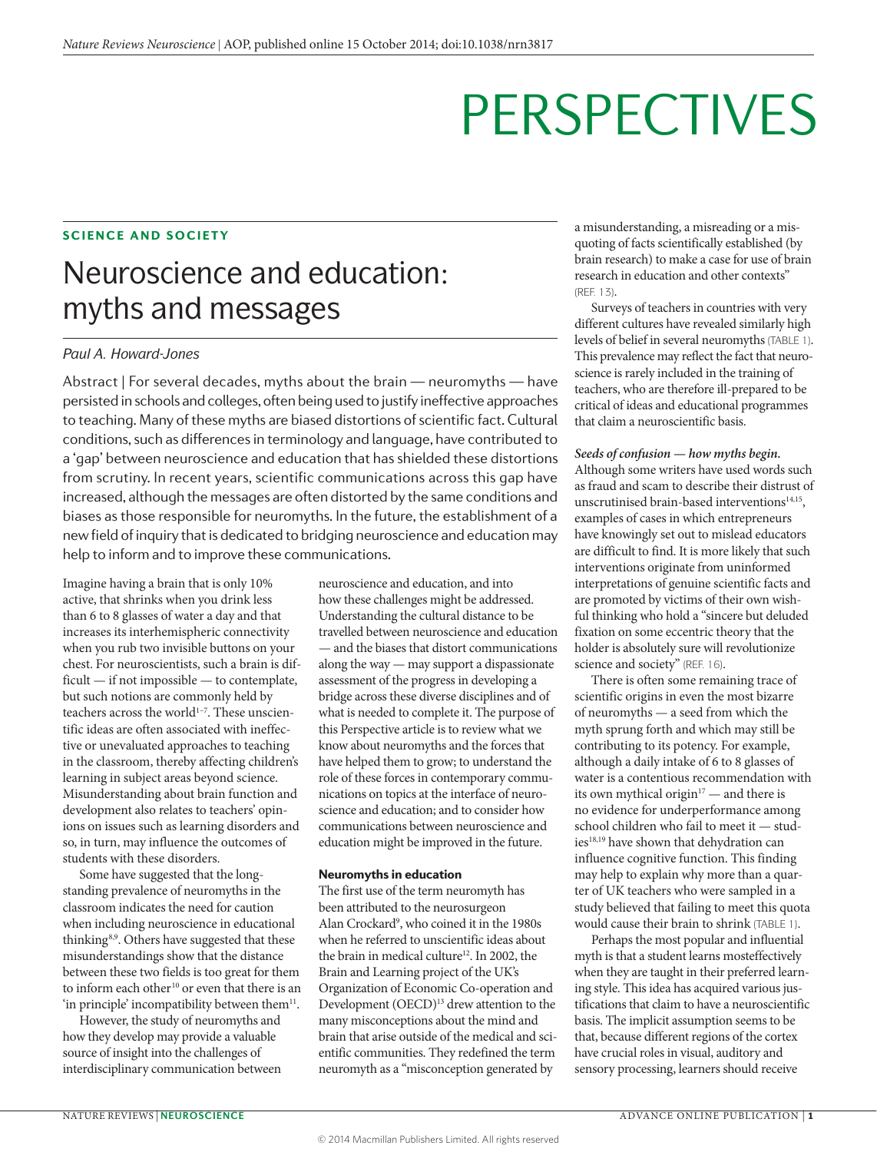#### SCIENCE AND SOCIETY

## Neuroscience and education: myths and messages

#### *Paul A. Howard-Jones*

Abstract | For several decades, myths about the brain — neuromyths — have persisted in schools and colleges, often being used to justify ineffective approaches to teaching. Many of these myths are biased distortions of scientific fact. Cultural conditions, such as differences in terminology and language, have contributed to a 'gap' between neuroscience and education that has shielded these distortions from scrutiny. In recent years, scientific communications across this gap have increased, although the messages are often distorted by the same conditions and biases as those responsible for neuromyths. In the future, the establishment of a new field of inquiry that is dedicated to bridging neuroscience and education may help to inform and to improve these communications.

Imagine having a brain that is only 10% active, that shrinks when you drink less than 6 to 8 glasses of water a day and that increases its interhemispheric connectivity when you rub two invisible buttons on your chest. For neuroscientists, such a brain is difficult — if not impossible — to contemplate, but such notions are commonly held by teachers across the world<sup>1-7</sup>. These unscientific ideas are often associated with ineffective or unevaluated approaches to teaching in the classroom, thereby affecting children's learning in subject areas beyond science. Misunderstanding about brain function and development also relates to teachers' opinions on issues such as learning disorders and so, in turn, may influence the outcomes of students with these disorders.

Some have suggested that the longstanding prevalence of neuromyths in the classroom indicates the need for caution when including neuroscience in educational thinking8,9 . Others have suggested that these misunderstandings show that the distance between these two fields is too great for them to inform each other<sup>10</sup> or even that there is an 'in principle' incompatibility between them $^{11}$ .

However, the study of neuromyths and how they develop may provide a valuable source of insight into the challenges of interdisciplinary communication between neuroscience and education, and into how these challenges might be addressed. Understanding the cultural distance to be travelled between neuroscience and education — and the biases that distort communications along the way — may support a dispassionate assessment of the progress in developing a bridge across these diverse disciplines and of what is needed to complete it. The purpose of this Perspective article is to review what we know about neuromyths and the forces that have helped them to grow; to understand the role of these forces in contemporary communications on topics at the interface of neuroscience and education; and to consider how communications between neuroscience and education might be improved in the future.

#### Neuromyths in education

The first use of the term neuromyth has been attributed to the neurosurgeon Alan Crockard<sup>9</sup>, who coined it in the 1980s when he referred to unscientific ideas about the brain in medical culture<sup>12</sup>. In 2002, the Brain and Learning project of the UK's Organization of Economic Co-operation and Development (OECD)<sup>13</sup> drew attention to the many misconceptions about the mind and brain that arise outside of the medical and scientific communities. They redefined the term neuromyth as a "misconception generated by

a misunderstanding, a misreading or a misquoting of facts scientifically established (by brain research) to make a case for use of brain research in education and other contexts" (REF. 13).

Surveys of teachers in countries with very different cultures have revealed similarly high levels of belief in several neuromyths (TABLE 1). This prevalence may reflect the fact that neuroscience is rarely included in the training of teachers, who are therefore ill-prepared to be critical of ideas and educational programmes that claim a neuroscientific basis.

#### *Seeds of confusion — how myths begin.*

Although some writers have used words such as fraud and scam to describe their distrust of unscrutinised brain-based interventions<sup>14,15</sup>, examples of cases in which entrepreneurs have knowingly set out to mislead educators are difficult to find. It is more likely that such interventions originate from uninformed interpretations of genuine scientific facts and are promoted by victims of their own wishful thinking who hold a "sincere but deluded fixation on some eccentric theory that the holder is absolutely sure will revolutionize science and society" (REF. 16).

There is often some remaining trace of scientific origins in even the most bizarre of neuromyths — a seed from which the myth sprung forth and which may still be contributing to its potency. For example, although a daily intake of 6 to 8 glasses of water is a contentious recommendation with its own mythical origin $17$  — and there is no evidence for underperformance among school children who fail to meet it — studies<sup>18,19</sup> have shown that dehydration can influence cognitive function. This finding may help to explain why more than a quarter of UK teachers who were sampled in a study believed that failing to meet this quota would cause their brain to shrink (TABLE 1).

Perhaps the most popular and influential myth is that a student learns mosteffectively when they are taught in their preferred learning style. This idea has acquired various justifications that claim to have a neuroscientific basis. The implicit assumption seems to be that, because different regions of the cortex have crucial roles in visual, auditory and sensory processing, learners should receive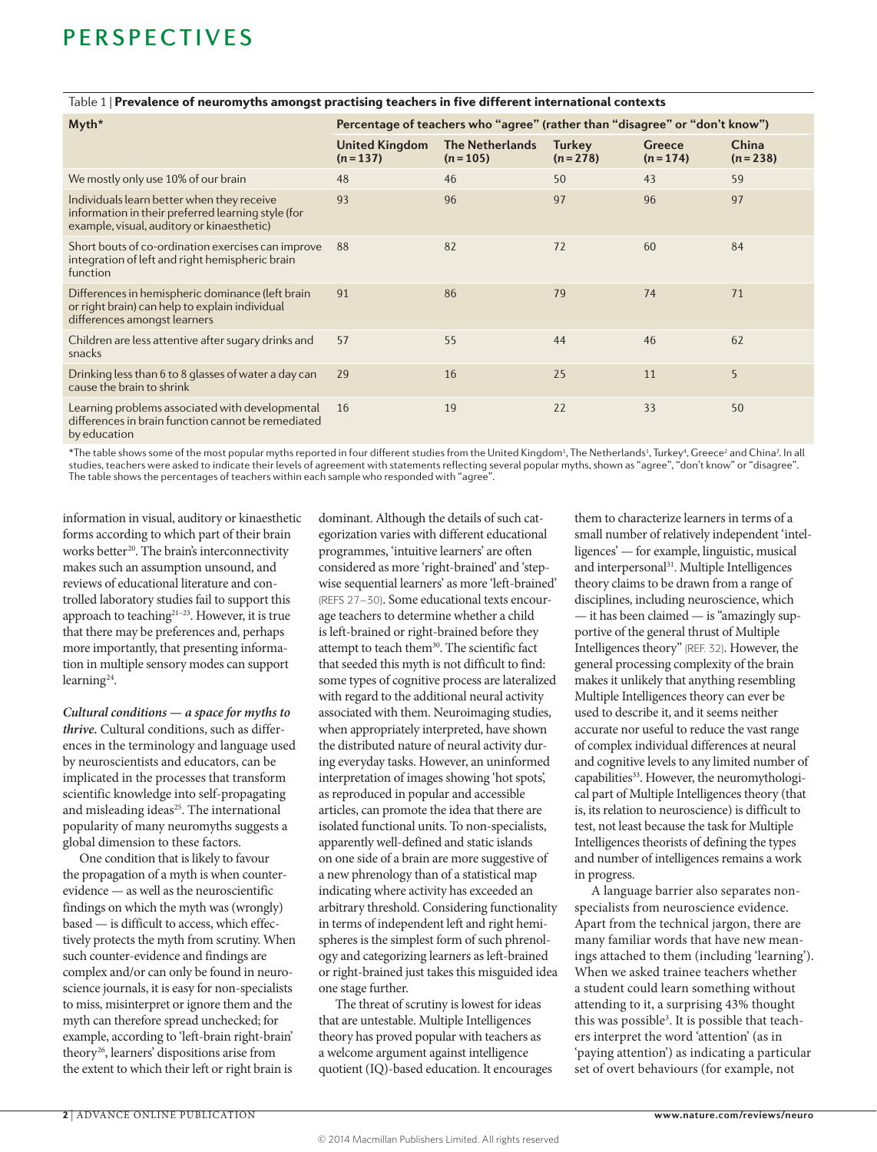| Myth*                                                                                                                                          | Percentage of teachers who "agree" (rather than "disagree" or "don't know") |                                     |                     |                     |                    |
|------------------------------------------------------------------------------------------------------------------------------------------------|-----------------------------------------------------------------------------|-------------------------------------|---------------------|---------------------|--------------------|
|                                                                                                                                                | <b>United Kingdom</b><br>$(n=137)$                                          | <b>The Netherlands</b><br>$(n=105)$ | Turkey<br>$(n=278)$ | Greece<br>$(n=174)$ | China<br>$(n=238)$ |
| We mostly only use 10% of our brain                                                                                                            | 48                                                                          | 46                                  | 50                  | 43                  | 59                 |
| Individuals learn better when they receive<br>information in their preferred learning style (for<br>example, visual, auditory or kinaesthetic) | 93                                                                          | 96                                  | 97                  | 96                  | 97                 |
| Short bouts of co-ordination exercises can improve<br>integration of left and right hemispheric brain<br>function                              | 88                                                                          | 82                                  | 72                  | 60                  | 84                 |
| Differences in hemispheric dominance (left brain<br>or right brain) can help to explain individual<br>differences amongst learners             | 91                                                                          | 86                                  | 79                  | 74                  | 71                 |
| Children are less attentive after sugary drinks and<br>snacks                                                                                  | 57                                                                          | 55                                  | 44                  | 46                  | 62                 |
| Drinking less than 6 to 8 glasses of water a day can<br>cause the brain to shrink                                                              | 29                                                                          | 16                                  | 25                  | 11                  | 5                  |
| Learning problems associated with developmental<br>differences in brain function cannot be remediated                                          | 16                                                                          | 19                                  | 22                  | 33                  | 50                 |

#### Table 1 | Prevalence of neuromyths amongst practising teachers in five different international contexts

by education

 $^*$ The table shows some of the most popular myths reported in four different studies from the United Kingdom<sup>1</sup>, The Netherlands<sup>1</sup>, Turkey<sup>4</sup>, Greece<sup>2</sup> and China<sup>7</sup>. In all studies, teachers were asked to indicate their levels of agreement with statements reflecting several popular myths, shown as "agree", "don't know" or "disagree". The table shows the percentages of teachers within each sample who responded with "agree".

information in visual, auditory or kinaesthetic forms according to which part of their brain works better<sup>20</sup>. The brain's interconnectivity makes such an assumption unsound, and reviews of educational literature and controlled laboratory studies fail to support this approach to teaching21–23. However, it is true that there may be preferences and, perhaps more importantly, that presenting information in multiple sensory modes can support learning24.

*Cultural conditions — a space for myths to thrive.* Cultural conditions, such as differences in the terminology and language used by neuroscientists and educators, can be implicated in the processes that transform scientific knowledge into self-propagating and misleading ideas<sup>25</sup>. The international popularity of many neuromyths suggests a global dimension to these factors.

One condition that is likely to favour the propagation of a myth is when counterevidence — as well as the neuroscientific findings on which the myth was (wrongly) based — is difficult to access, which effectively protects the myth from scrutiny. When such counter-evidence and findings are complex and/or can only be found in neuroscience journals, it is easy for non-specialists to miss, misinterpret or ignore them and the myth can therefore spread unchecked; for example, according to 'left-brain right-brain' theory<sup>26</sup>, learners' dispositions arise from the extent to which their left or right brain is

dominant. Although the details of such categorization varies with different educational programmes, 'intuitive learners' are often considered as more 'right-brained' and 'stepwise sequential learners' as more 'left-brained' (REFS 27–30). Some educational texts encourage teachers to determine whether a child is left-brained or right-brained before they attempt to teach them<sup>30</sup>. The scientific fact that seeded this myth is not difficult to find: some types of cognitive process are lateralized with regard to the additional neural activity associated with them. Neuroimaging studies, when appropriately interpreted, have shown the distributed nature of neural activity during everyday tasks. However, an uninformed interpretation of images showing 'hot spots', as reproduced in popular and accessible articles, can promote the idea that there are isolated functional units. To non-specialists, apparently well-defined and static islands on one side of a brain are more suggestive of a new phrenology than of a statistical map indicating where activity has exceeded an arbitrary threshold. Considering functionality in terms of independent left and right hemispheres is the simplest form of such phrenology and categorizing learners as left-brained or right-brained just takes this misguided idea one stage further.

The threat of scrutiny is lowest for ideas that are untestable. Multiple Intelligences theory has proved popular with teachers as a welcome argument against intelligence quotient (IQ)-based education. It encourages

them to characterize learners in terms of a small number of relatively independent 'intelligences' — for example, linguistic, musical and interpersonal<sup>31</sup>. Multiple Intelligences theory claims to be drawn from a range of disciplines, including neuroscience, which — it has been claimed — is "amazingly supportive of the general thrust of Multiple Intelligences theory" (REF. 32). However, the general processing complexity of the brain makes it unlikely that anything resembling Multiple Intelligences theory can ever be used to describe it, and it seems neither accurate nor useful to reduce the vast range of complex individual differences at neural and cognitive levels to any limited number of capabilities<sup>33</sup>. However, the neuromythological part of Multiple Intelligences theory (that is, its relation to neuroscience) is difficult to test, not least because the task for Multiple Intelligences theorists of defining the types and number of intelligences remains a work in progress.

A language barrier also separates nonspecialists from neuroscience evidence. Apart from the technical jargon, there are many familiar words that have new meanings attached to them (including 'learning'). When we asked trainee teachers whether a student could learn something without attending to it, a surprising 43% thought this was possible<sup>3</sup>. It is possible that teachers interpret the word 'attention' (as in 'paying attention') as indicating a particular set of overt behaviours (for example, not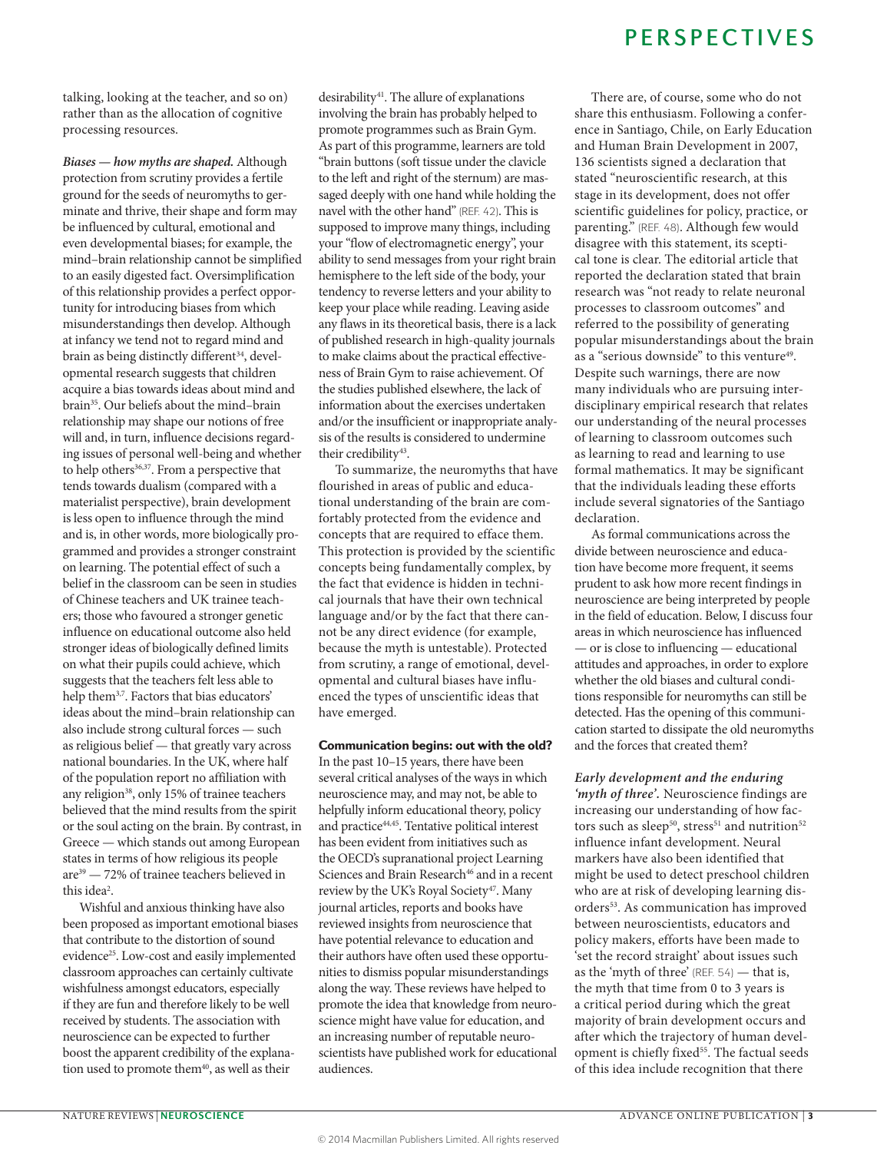talking, looking at the teacher, and so on) rather than as the allocation of cognitive processing resources.

*Biases — how myths are shaped.* Although protection from scrutiny provides a fertile ground for the seeds of neuromyths to germinate and thrive, their shape and form may be influenced by cultural, emotional and even developmental biases; for example, the mind–brain relationship cannot be simplified to an easily digested fact. Oversimplification of this relationship provides a perfect opportunity for introducing biases from which misunderstandings then develop. Although at infancy we tend not to regard mind and brain as being distinctly different<sup>34</sup>, developmental research suggests that children acquire a bias towards ideas about mind and brain35. Our beliefs about the mind–brain relationship may shape our notions of free will and, in turn, influence decisions regarding issues of personal well-being and whether to help others<sup>36,37</sup>. From a perspective that tends towards dualism (compared with a materialist perspective), brain development is less open to influence through the mind and is, in other words, more biologically programmed and provides a stronger constraint on learning. The potential effect of such a belief in the classroom can be seen in studies of Chinese teachers and UK trainee teachers; those who favoured a stronger genetic influence on educational outcome also held stronger ideas of biologically defined limits on what their pupils could achieve, which suggests that the teachers felt less able to help them3,7 . Factors that bias educators' ideas about the mind–brain relationship can also include strong cultural forces — such as religious belief — that greatly vary across national boundaries. In the UK, where half of the population report no affiliation with any religion<sup>38</sup>, only 15% of trainee teachers believed that the mind results from the spirit or the soul acting on the brain. By contrast, in Greece — which stands out among European states in terms of how religious its people are39 — 72% of trainee teachers believed in this idea<sup>2</sup>.

Wishful and anxious thinking have also been proposed as important emotional biases that contribute to the distortion of sound evidence<sup>25</sup>. Low-cost and easily implemented classroom approaches can certainly cultivate wishfulness amongst educators, especially if they are fun and therefore likely to be well received by students. The association with neuroscience can be expected to further boost the apparent credibility of the explanation used to promote them<sup>40</sup>, as well as their

desirability<sup>41</sup>. The allure of explanations involving the brain has probably helped to promote programmes such as Brain Gym. As part of this programme, learners are told "brain buttons (soft tissue under the clavicle to the left and right of the sternum) are massaged deeply with one hand while holding the navel with the other hand" (REF. 42). This is supposed to improve many things, including your "flow of electromagnetic energy", your ability to send messages from your right brain hemisphere to the left side of the body, your tendency to reverse letters and your ability to keep your place while reading. Leaving aside any flaws in its theoretical basis, there is a lack of published research in high-quality journals to make claims about the practical effectiveness of Brain Gym to raise achievement. Of the studies published elsewhere, the lack of information about the exercises undertaken and/or the insufficient or inappropriate analysis of the results is considered to undermine their credibility<sup>43</sup>.

To summarize, the neuromyths that have flourished in areas of public and educational understanding of the brain are comfortably protected from the evidence and concepts that are required to efface them. This protection is provided by the scientific concepts being fundamentally complex, by the fact that evidence is hidden in technical journals that have their own technical language and/or by the fact that there cannot be any direct evidence (for example, because the myth is untestable). Protected from scrutiny, a range of emotional, developmental and cultural biases have influenced the types of unscientific ideas that have emerged.

#### Communication begins: out with the old?

In the past 10–15 years, there have been several critical analyses of the ways in which neuroscience may, and may not, be able to helpfully inform educational theory, policy and practice44,45. Tentative political interest has been evident from initiatives such as the OECD's supranational project Learning Sciences and Brain Research<sup>46</sup> and in a recent review by the UK's Royal Society<sup>47</sup>. Many journal articles, reports and books have reviewed insights from neuroscience that have potential relevance to education and their authors have often used these opportunities to dismiss popular misunderstandings along the way. These reviews have helped to promote the idea that knowledge from neuroscience might have value for education, and an increasing number of reputable neuroscientists have published work for educational audiences.

### **PERSPECTIVES**

There are, of course, some who do not share this enthusiasm. Following a conference in Santiago, Chile, on Early Education and Human Brain Development in 2007, 136 scientists signed a declaration that stated "neuroscientific research, at this stage in its development, does not offer scientific guidelines for policy, practice, or parenting." (REF. 48). Although few would disagree with this statement, its sceptical tone is clear. The editorial article that reported the declaration stated that brain research was "not ready to relate neuronal processes to classroom outcomes" and referred to the possibility of generating popular misunderstandings about the brain as a "serious downside" to this venture<sup>49</sup>. Despite such warnings, there are now many individuals who are pursuing interdisciplinary empirical research that relates our understanding of the neural processes of learning to classroom outcomes such as learning to read and learning to use formal mathematics. It may be significant that the individuals leading these efforts include several signatories of the Santiago declaration.

As formal communications across the divide between neuroscience and education have become more frequent, it seems prudent to ask how more recent findings in neuroscience are being interpreted by people in the field of education. Below, I discuss four areas in which neuroscience has influenced — or is close to influencing — educational attitudes and approaches, in order to explore whether the old biases and cultural conditions responsible for neuromyths can still be detected. Has the opening of this communication started to dissipate the old neuromyths and the forces that created them?

### *Early development and the enduring*

*'myth of three'.* Neuroscience findings are increasing our understanding of how factors such as sleep<sup>50</sup>, stress<sup>51</sup> and nutrition<sup>52</sup> influence infant development. Neural markers have also been identified that might be used to detect preschool children who are at risk of developing learning disorders<sup>53</sup>. As communication has improved between neuroscientists, educators and policy makers, efforts have been made to 'set the record straight' about issues such as the 'myth of three' (REF. 54) — that is, the myth that time from 0 to 3 years is a critical period during which the great majority of brain development occurs and after which the trajectory of human development is chiefly fixed<sup>55</sup>. The factual seeds of this idea include recognition that there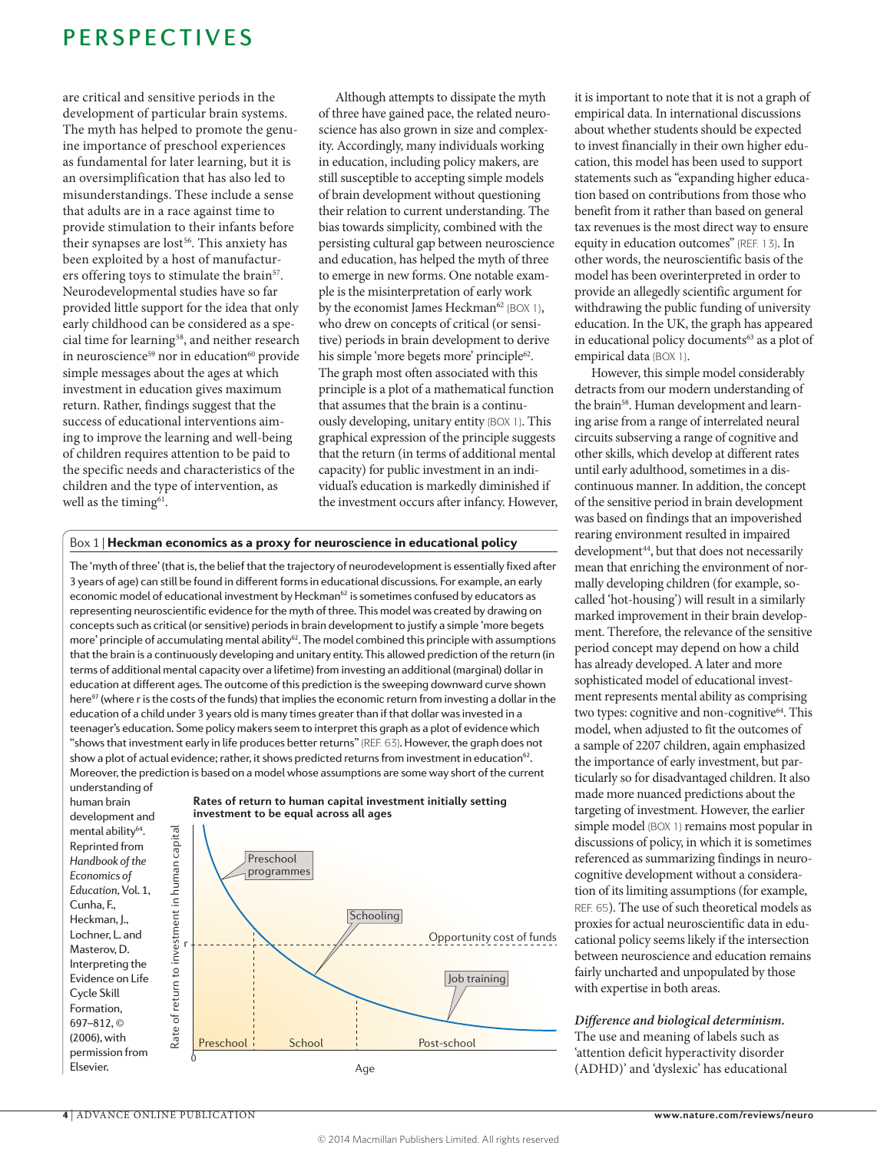are critical and sensitive periods in the development of particular brain systems. The myth has helped to promote the genuine importance of preschool experiences as fundamental for later learning, but it is an oversimplification that has also led to misunderstandings. These include a sense that adults are in a race against time to provide stimulation to their infants before their synapses are lost<sup>56</sup>. This anxiety has been exploited by a host of manufacturers offering toys to stimulate the brain<sup>57</sup>. Neurodevelopmental studies have so far provided little support for the idea that only early childhood can be considered as a special time for learning<sup>58</sup>, and neither research in neuroscience<sup>59</sup> nor in education<sup>60</sup> provide simple messages about the ages at which investment in education gives maximum return. Rather, findings suggest that the success of educational interventions aiming to improve the learning and well-being of children requires attention to be paid to the specific needs and characteristics of the children and the type of intervention, as well as the timing<sup>61</sup>.

Although attempts to dissipate the myth of three have gained pace, the related neuroscience has also grown in size and complexity. Accordingly, many individuals working in education, including policy makers, are still susceptible to accepting simple models of brain development without questioning their relation to current understanding. The bias towards simplicity, combined with the persisting cultural gap between neuroscience and education, has helped the myth of three to emerge in new forms. One notable example is the misinterpretation of early work by the economist James Heckman<sup>62</sup> (BOX 1), who drew on concepts of critical (or sensitive) periods in brain development to derive his simple 'more begets more' principle<sup>62</sup>. The graph most often associated with this principle is a plot of a mathematical function that assumes that the brain is a continuously developing, unitary entity (BOX 1). This graphical expression of the principle suggests that the return (in terms of additional mental capacity) for public investment in an individual's education is markedly diminished if the investment occurs after infancy. However,

#### Box 1 | Heckman economics as a proxy for neuroscience in educational policy

The 'myth of three' (that is, the belief that the trajectory of neurodevelopment is essentially fixed after 3 years of age) can still be found in different forms in educational discussions. For example, an early economic model of educational investment by Heckman<sup>62</sup> is sometimes confused by educators as representing neuroscientific evidence for the myth of three. This model was created by drawing on concepts such as critical (or sensitive) periods in brain development to justify a simple 'more begets more' principle of accumulating mental ability<sup>62</sup>. The model combined this principle with assumptions that the brain is a continuously developing and unitary entity. This allowed prediction of the return (in terms of additional mental capacity over a lifetime) from investing an additional (marginal) dollar in education at different ages. The outcome of this prediction is the sweeping downward curve shown here<sup>97</sup> (where r is the costs of the funds) that implies the economic return from investing a dollar in the education of a child under 3 years old is many times greater than if that dollar was invested in a teenager's education. Some policy makers seem to interpret this graph as a plot of evidence which "shows that investment early in life produces better returns" (REF. 63). However, the graph does not show a plot of actual evidence; rather, it shows predicted returns from investment in education<sup>62</sup>. Moreover, the prediction is based on a model whose assumptions are some way short of the current understanding of

**investment to be equal across all ages**

human brain development and mental ability<sup>64</sup>. Reprinted from *Handbook of the Economics of Education,* Vol. 1, Cunha, F., Heckman, J., Lochner, L. and Masterov, D. Interpreting the Evidence on Life Cycle Skill Formation, 697–812, © (2006), with permission from Elsevier.



**Rates of return to human capital investment initially setting** 

it is important to note that it is not a graph of empirical data. In international discussions about whether students should be expected to invest financially in their own higher education, this model has been used to support statements such as "expanding higher education based on contributions from those who benefit from it rather than based on general tax revenues is the most direct way to ensure equity in education outcomes" (REF. 13). In other words, the neuroscientific basis of the model has been overinterpreted in order to provide an allegedly scientific argument for withdrawing the public funding of university education. In the UK, the graph has appeared in educational policy documents<sup>63</sup> as a plot of empirical data (BOX 1).

However, this simple model considerably detracts from our modern understanding of the brain<sup>58</sup>. Human development and learning arise from a range of interrelated neural circuits subserving a range of cognitive and other skills, which develop at different rates until early adulthood, sometimes in a discontinuous manner. In addition, the concept of the sensitive period in brain development was based on findings that an impoverished rearing environment resulted in impaired development<sup>44</sup>, but that does not necessarily mean that enriching the environment of normally developing children (for example, socalled 'hot-housing') will result in a similarly marked improvement in their brain development. Therefore, the relevance of the sensitive period concept may depend on how a child has already developed. A later and more sophisticated model of educational investment represents mental ability as comprising two types: cognitive and non-cognitive<sup>64</sup>. This model, when adjusted to fit the outcomes of a sample of 2207 children, again emphasized the importance of early investment, but particularly so for disadvantaged children. It also made more nuanced predictions about the targeting of investment. However, the earlier simple model (BOX 1) remains most popular in discussions of policy, in which it is sometimes referenced as summarizing findings in neurocognitive development without a consideration of its limiting assumptions (for example, REF. 65). The use of such theoretical models as proxies for actual neuroscientific data in educational policy seems likely if the intersection between neuroscience and education remains fairly uncharted and unpopulated by those with expertise in both areas.

#### *Difference and biological determinism.* The use and meaning of labels such as 'attention deficit hyperactivity disorder (ADHD)' and 'dyslexic' has educational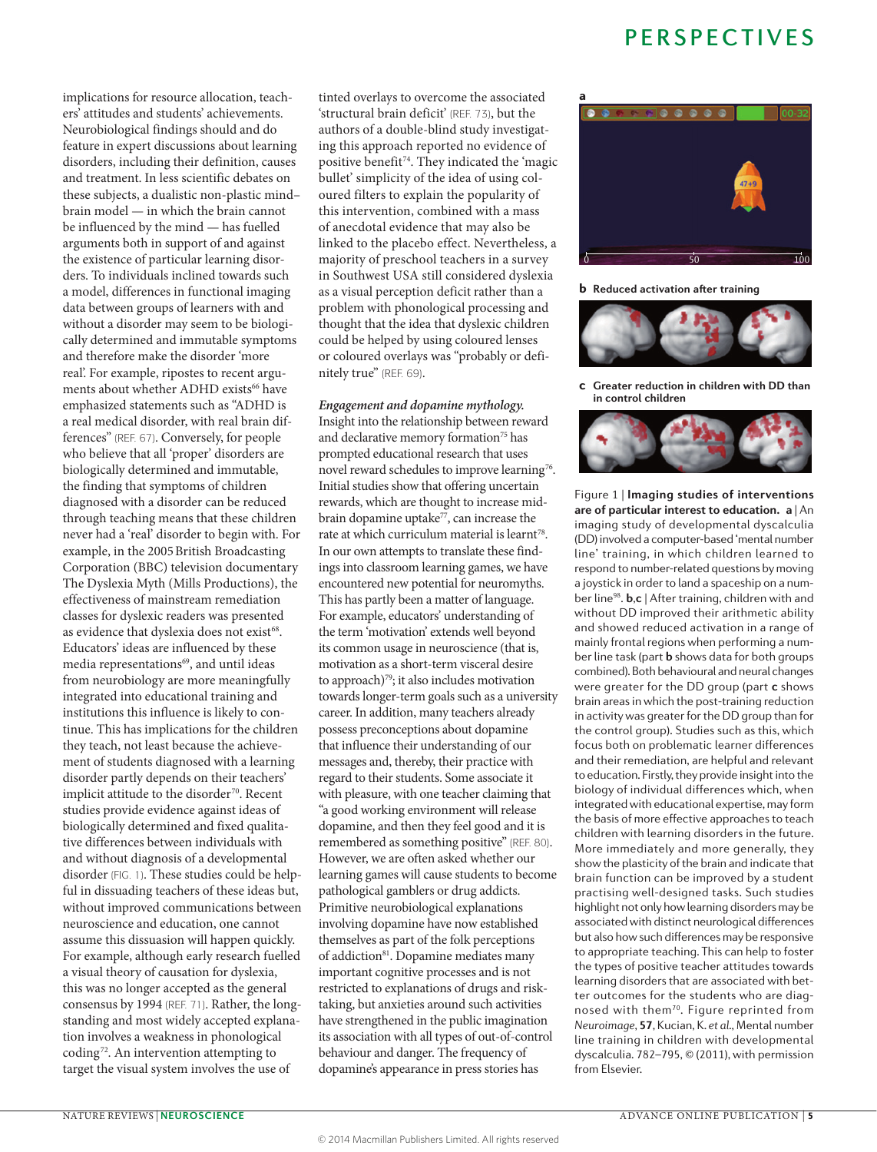implications for resource allocation, teachers' attitudes and students' achievements. Neurobiological findings should and do feature in expert discussions about learning disorders, including their definition, causes and treatment. In less scientific debates on these subjects, a dualistic non-plastic mind– brain model — in which the brain cannot be influenced by the mind — has fuelled arguments both in support of and against the existence of particular learning disorders. To individuals inclined towards such a model, differences in functional imaging data between groups of learners with and without a disorder may seem to be biologically determined and immutable symptoms and therefore make the disorder 'more real'. For example, ripostes to recent arguments about whether ADHD exists<sup>66</sup> have emphasized statements such as "ADHD is a real medical disorder, with real brain differences" (REF. 67). Conversely, for people who believe that all 'proper' disorders are biologically determined and immutable, the finding that symptoms of children diagnosed with a disorder can be reduced through teaching means that these children never had a 'real' disorder to begin with. For example, in the 2005British Broadcasting Corporation (BBC) television documentary The Dyslexia Myth (Mills Productions), the effectiveness of mainstream remediation classes for dyslexic readers was presented as evidence that dyslexia does not exist<sup>68</sup>. Educators' ideas are influenced by these media representations<sup>69</sup>, and until ideas from neurobiology are more meaningfully integrated into educational training and institutions this influence is likely to continue. This has implications for the children they teach, not least because the achievement of students diagnosed with a learning disorder partly depends on their teachers' implicit attitude to the disorder<sup>70</sup>. Recent studies provide evidence against ideas of biologically determined and fixed qualitative differences between individuals with and without diagnosis of a developmental disorder (FIG. 1). These studies could be helpful in dissuading teachers of these ideas but, without improved communications between neuroscience and education, one cannot assume this dissuasion will happen quickly. For example, although early research fuelled a visual theory of causation for dyslexia, this was no longer accepted as the general consensus by 1994 (REF. 71). Rather, the longstanding and most widely accepted explanation involves a weakness in phonological coding72. An intervention attempting to target the visual system involves the use of

tinted overlays to overcome the associated 'structural brain deficit' (REF. 73), but the authors of a double-blind study investigating this approach reported no evidence of positive benefit<sup>74</sup>. They indicated the 'magic bullet' simplicity of the idea of using coloured filters to explain the popularity of this intervention, combined with a mass of anecdotal evidence that may also be linked to the placebo effect. Nevertheless, a majority of preschool teachers in a survey in Southwest USA still considered dyslexia as a visual perception deficit rather than a problem with phonological processing and thought that the idea that dyslexic children could be helped by using coloured lenses or coloured overlays was "probably or definitely true" (REF. 69).

#### *Engagement and dopamine mythology.*

Insight into the relationship between reward and declarative memory formation<sup>75</sup> has prompted educational research that uses novel reward schedules to improve learning<sup>76</sup>. Initial studies show that offering uncertain rewards, which are thought to increase midbrain dopamine uptake<sup>77</sup>, can increase the rate at which curriculum material is learnt<sup>78</sup>. In our own attempts to translate these findings into classroom learning games, we have encountered new potential for neuromyths. This has partly been a matter of language. For example, educators' understanding of the term 'motivation' extends well beyond its common usage in neuroscience (that is, motivation as a short-term visceral desire to approach)79; it also includes motivation towards longer-term goals such as a university career. In addition, many teachers already possess preconceptions about dopamine that influence their understanding of our messages and, thereby, their practice with regard to their students. Some associate it with pleasure, with one teacher claiming that "a good working environment will release dopamine, and then they feel good and it is remembered as something positive" (REF. 80). However, we are often asked whether our learning games will cause students to become pathological gamblers or drug addicts. Primitive neurobiological explanations involving dopamine have now established themselves as part of the folk perceptions of addiction<sup>81</sup>. Dopamine mediates many important cognitive processes and is not restricted to explanations of drugs and risktaking, but anxieties around such activities have strengthened in the public imagination its association with all types of out-of-control behaviour and danger. The frequency of dopamine's appearance in press stories has



b **Reduced activation after training** 



c **Greater reduction in children with DD than in control children**



Figure 1 | Imaging studies of interventions **are of particular interest to education. a** | An imaging study of developmental dyscalculia (DD) involved a computer-based 'mental number line' training, in which children learned to respond to number-related questions by moving a joystick in order to land a spaceship on a number line98. **b**,**c** | After training, children with and without DD improved their arithmetic ability and showed reduced activation in a range of mainly frontal regions when performing a num‑ ber line task (part **b** shows data for both groups combined). Both behavioural and neural changes were greater for the DD group (part **c** shows brain areas in which the post-training reduction in activity was greater for the DD group than for the control group). Studies such as this, which focus both on problematic learner differences and their remediation, are helpful and relevant to education. Firstly, they provide insight into the biology of individual differences which, when integrated with educational expertise, may form the basis of more effective approaches to teach children with learning disorders in the future. More immediately and more generally, they show the plasticity of the brain and indicate that brain function can be improved by a student practising well-designed tasks. Such studies highlight not only how learning disorders may be associated with distinct neurological differences but also how such differences may be responsive to appropriate teaching. This can help to foster the types of positive teacher attitudes towards learning disorders that are associated with better outcomes for the students who are diagnosed with them<sup>70</sup>. Figure reprinted from *Neuroimage*, **57**, Kucian, K. *et al.*, Mental number line training in children with developmental dyscalculia. 782–795, © (2011), with permission from Elsevier.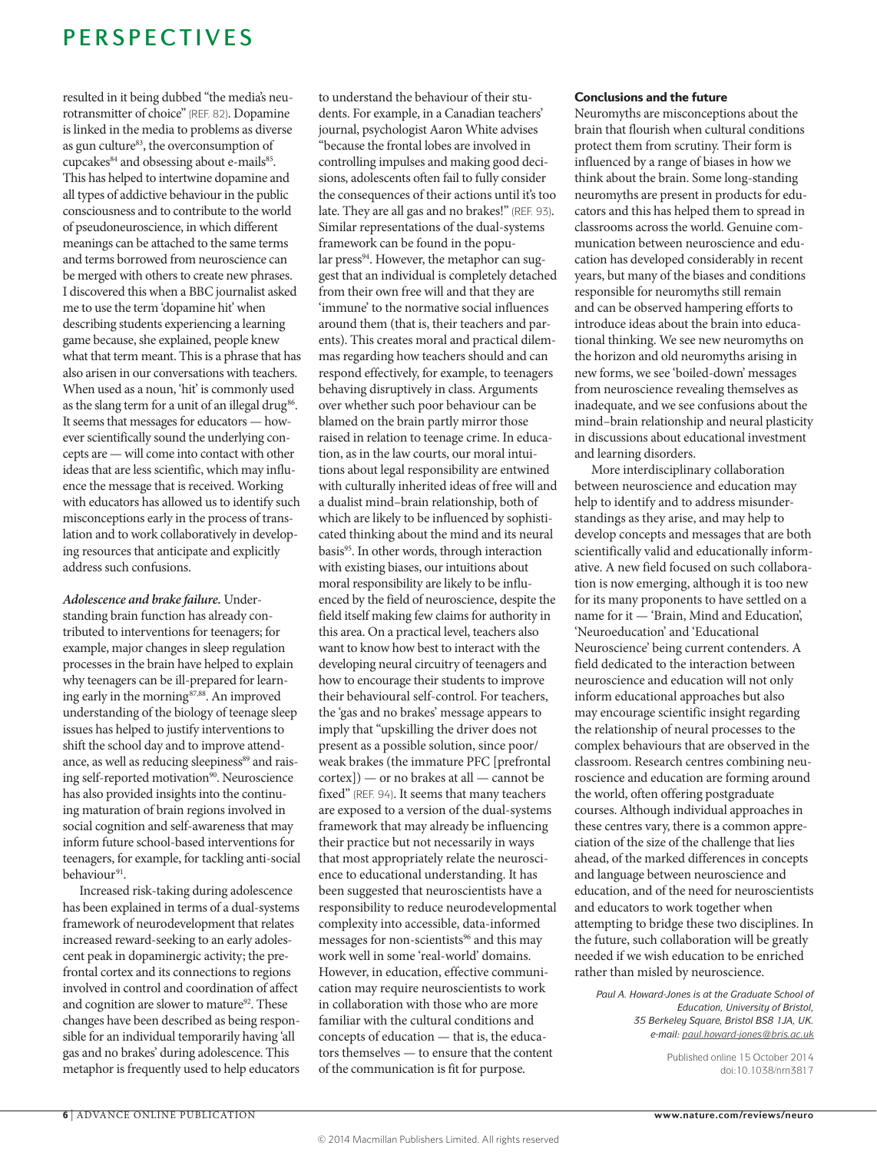resulted in it being dubbed "the media's neurotransmitter of choice" (REF. 82). Dopamine is linked in the media to problems as diverse as gun culture<sup>83</sup>, the overconsumption of cupcakes<sup>84</sup> and obsessing about e-mails<sup>85</sup>. This has helped to intertwine dopamine and all types of addictive behaviour in the public consciousness and to contribute to the world of pseudoneuroscience, in which different meanings can be attached to the same terms and terms borrowed from neuroscience can be merged with others to create new phrases. I discovered this when a BBC journalist asked me to use the term 'dopamine hit' when describing students experiencing a learning game because, she explained, people knew what that term meant. This is a phrase that has also arisen in our conversations with teachers. When used as a noun, 'hit' is commonly used as the slang term for a unit of an illegal drug<sup>86</sup>. It seems that messages for educators — however scientifically sound the underlying concepts are — will come into contact with other ideas that are less scientific, which may influence the message that is received. Working with educators has allowed us to identify such misconceptions early in the process of translation and to work collaboratively in developing resources that anticipate and explicitly address such confusions.

*Adolescence and brake failure.* Understanding brain function has already contributed to interventions for teenagers; for example, major changes in sleep regulation processes in the brain have helped to explain why teenagers can be ill-prepared for learning early in the morning<sup>87,88</sup>. An improved understanding of the biology of teenage sleep issues has helped to justify interventions to shift the school day and to improve attendance, as well as reducing sleepiness<sup>89</sup> and raising self-reported motivation<sup>90</sup>. Neuroscience has also provided insights into the continuing maturation of brain regions involved in social cognition and self-awareness that may inform future school-based interventions for teenagers, for example, for tackling anti-social behaviour<sup>91</sup>.

Increased risk-taking during adolescence has been explained in terms of a dual-systems framework of neurodevelopment that relates increased reward-seeking to an early adolescent peak in dopaminergic activity; the prefrontal cortex and its connections to regions involved in control and coordination of affect and cognition are slower to mature<sup>92</sup>. These changes have been described as being responsible for an individual temporarily having 'all gas and no brakes' during adolescence. This metaphor is frequently used to help educators to understand the behaviour of their students. For example, in a Canadian teachers' journal, psychologist Aaron White advises "because the frontal lobes are involved in controlling impulses and making good decisions, adolescents often fail to fully consider the consequences of their actions until it's too late. They are all gas and no brakes!" (REF. 93). Similar representations of the dual-systems framework can be found in the popular press<sup>94</sup>. However, the metaphor can suggest that an individual is completely detached from their own free will and that they are 'immune' to the normative social influences around them (that is, their teachers and parents). This creates moral and practical dilemmas regarding how teachers should and can respond effectively, for example, to teenagers behaving disruptively in class. Arguments over whether such poor behaviour can be blamed on the brain partly mirror those raised in relation to teenage crime. In education, as in the law courts, our moral intuitions about legal responsibility are entwined with culturally inherited ideas of free will and a dualist mind–brain relationship, both of which are likely to be influenced by sophisticated thinking about the mind and its neural basis<sup>95</sup>. In other words, through interaction with existing biases, our intuitions about moral responsibility are likely to be influenced by the field of neuroscience, despite the field itself making few claims for authority in this area. On a practical level, teachers also want to know how best to interact with the developing neural circuitry of teenagers and how to encourage their students to improve their behavioural self-control. For teachers, the 'gas and no brakes' message appears to imply that "upskilling the driver does not present as a possible solution, since poor/ weak brakes (the immature PFC [prefrontal cortex]) — or no brakes at all — cannot be fixed" (REF. 94). It seems that many teachers are exposed to a version of the dual-systems framework that may already be influencing their practice but not necessarily in ways that most appropriately relate the neuroscience to educational understanding. It has been suggested that neuroscientists have a responsibility to reduce neurodevelopmental complexity into accessible, data-informed messages for non-scientists<sup>96</sup> and this may work well in some 'real-world' domains. However, in education, effective communication may require neuroscientists to work in collaboration with those who are more familiar with the cultural conditions and concepts of education — that is, the educators themselves — to ensure that the content of the communication is fit for purpose.

#### Conclusions and the future

Neuromyths are misconceptions about the brain that flourish when cultural conditions protect them from scrutiny. Their form is influenced by a range of biases in how we think about the brain. Some long-standing neuromyths are present in products for educators and this has helped them to spread in classrooms across the world. Genuine communication between neuroscience and education has developed considerably in recent years, but many of the biases and conditions responsible for neuromyths still remain and can be observed hampering efforts to introduce ideas about the brain into educational thinking. We see new neuromyths on the horizon and old neuromyths arising in new forms, we see 'boiled-down' messages from neuroscience revealing themselves as inadequate, and we see confusions about the mind–brain relationship and neural plasticity in discussions about educational investment and learning disorders.

More interdisciplinary collaboration between neuroscience and education may help to identify and to address misunderstandings as they arise, and may help to develop concepts and messages that are both scientifically valid and educationally informative. A new field focused on such collaboration is now emerging, although it is too new for its many proponents to have settled on a name for it — 'Brain, Mind and Education', 'Neuroeducation' and 'Educational Neuroscience' being current contenders. A field dedicated to the interaction between neuroscience and education will not only inform educational approaches but also may encourage scientific insight regarding the relationship of neural processes to the complex behaviours that are observed in the classroom. Research centres combining neuroscience and education are forming around the world, often offering postgraduate courses. Although individual approaches in these centres vary, there is a common appreciation of the size of the challenge that lies ahead, of the marked differences in concepts and language between neuroscience and education, and of the need for neuroscientists and educators to work together when attempting to bridge these two disciplines. In the future, such collaboration will be greatly needed if we wish education to be enriched rather than misled by neuroscience.

*Paul A. Howard-Jones is at the Graduate School of Education, University of Bristol, 35 Berkeley Square, Bristol BS8 1JA, UK. e-mail: [paul.howard-jones@bris.ac.uk](mailto:paul.howard-jones%40bris.ac.uk?subject=Nature%20Reviews)*

> Published online 15 October 2014 doi:10.1038/nrn3817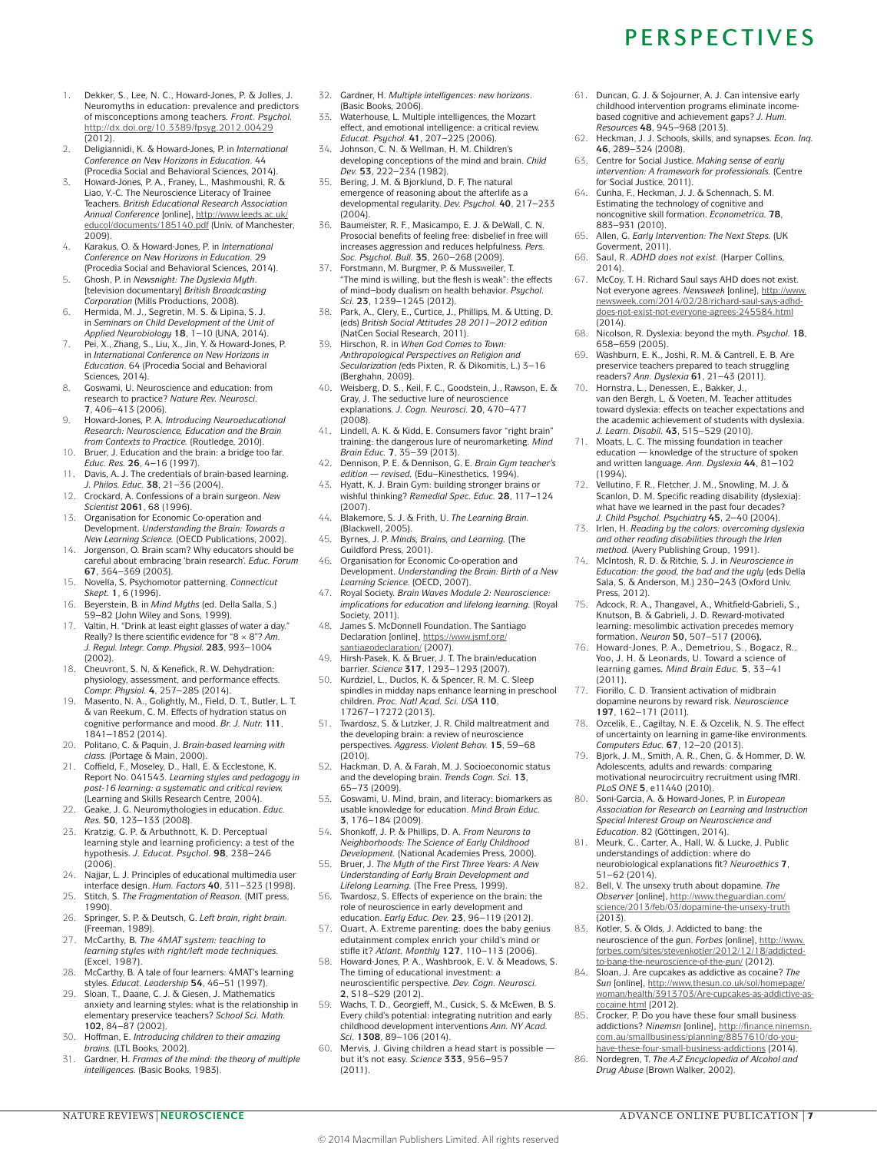- 1. Dekker, S., Lee, N. C., Howard-Jones, P. & Jolles, J. Neuromyths in education: prevalence and predictors of misconceptions among teachers. *Front. Psychol.* <http://dx.doi.org/10.3389/fpsyg.2012.00429>  $(2012)$ .
- 2. Deligiannidi, K. & Howard-Jones, P. in *International Conference on New Horizons in Education*. 44 (Procedia Social and Behavioral Sciences, 2014).
- 3. Howard-Jones, P. A., Franey, L., Mashmoushi, R. & Liao, Y.-C. The Neuroscience Literacy of Trainee Teachers. *British Educational Research Association Annual Conference* [online], [http://www.leeds.ac.uk/](http://www.leeds.ac.uk/educol/documents/185140.pdf) [educol/documents/185140.pdf](http://www.leeds.ac.uk/educol/documents/185140.pdf) (Univ. of Manchester, 2009).
- 4. Karakus, O. & Howard-Jones, P. in *International Conference on New Horizons in Education*. 29 (Procedia Social and Behavioral Sciences, 2014).
- 5. Ghosh, P. in *Newsnight: The Dyslexia Myth*. [television documentary] *British Broadcasting Corporation* (Mills Productions, 2008).
- 6. Hermida, M. J., Segretin, M. S. & Lipina, S. J. in *Seminars on Child Development of the Unit of Applied Neurobiology* **18**, 1–10 (UNA, 2014).
- 7. Pei, X., Zhang, S., Liu, X., Jin, Y. & Howard-Jones, P. in *International Conference on New Horizons in Education*. 64 (Procedia Social and Behavioral Sciences, 2014).
- 8. Goswami, U. Neuroscience and education: from research to practice? *Nature Rev. Neurosci.*  **7**, 406–413 (2006).
- 9. Howard-Jones, P. A. *Introducing Neuroeducational Research: Neuroscience, Education and the Brain from Contexts to Practice.* (Routledge, 2010).
- 10. Bruer, J. Education and the brain: a bridge too far. *Educ. Res.* **26**, 4–16 (1997).
- 11. Davis, A. J. The credentials of brain-based learning. *J. Philos. Educ.* **38**, 21–36 (2004). 12. Crockard, A. Confessions of a brain surgeon. *New*
- *Scientist* **2061**, 68 (1996).
- 13. Organisation for Economic Co-operation and Development. *Understanding the Brain: Towards a New Learning Science.* (OECD Publications, 2002). 14. Jorgenson, O. Brain scam? Why educators should be
- careful about embracing 'brain research'. *Educ. Forum*  **67**, 364–369 (2003).
- 15. Novella, S. Psychomotor patterning. *Connecticut Skept.* **1**, 6 (1996).
- 16. Beyerstein, B. in *Mind Myths* (ed. Della Salla, S.) 59–82 (John Wiley and Sons, 1999).
- Valtin, H. "Drink at least eight glasses of water a day." Really? Is there scientific evidence for "8×8"? *Am. J. Regul. Integr. Comp. Physiol.* **283**, 993–1004 (2002).
- 18. Cheuvront, S. N. & Kenefick, R. W. Dehydration: physiology, assessment, and performance effects. *Compr. Physiol.* **4**, 257–285 (2014).
- 19. Masento, N. A., Golightly, M., Field, D. T., Butler, L. T. & van Reekum, C. M. Effects of hydration status on cognitive performance and mood. *Br. J. Nutr.* **111**, 1841–1852 (2014).
- 20. Politano, C. & Paquin, J. *Brain-based learning with class.* (Portage & Main, 2000).
- 21. Coffield, F., Moseley, D., Hall, E. & Ecclestone, K. Report No. 041543. *Learning styles and pedagogy in post-16 learning: a systematic and critical review.* (Learning and Skills Research Centre, 2004).
- 22. Geake, J. G. Neuromythologies in education. *Educ. Res.* **50**, 123–133 (2008).
- 23. Kratzig, G. P. & Arbuthnott, K. D. Perceptual learning style and learning proficiency: a test of the hypothesis. *J. Educat. Psychol.* **98**, 238–246 (2006).
- 24. Najjar, L. J. Principles of educational multimedia user interface design. *Hum. Factors* **40**, 311–323 (1998).
- 25. Stitch, S. The Fragmentation of Reason. (MIT press. 1990).
- 26. Springer, S. P. & Deutsch, G. *Left brain, right brain.* (Freeman, 1989).
- 27. McCarthy, B. *The 4MAT system: teaching to learning styles with right/left mode techniques.* (Excel, 1987).
- 28. McCarthy, B. A tale of four learners: 4MAT's learning styles. *Educat. Leadership* **54**, 46–51 (1997).
- 29. Sloan, T., Daane, C. J. & Giesen, J. Mathematics anxiety and learning styles: what is the relationship in elementary preservice teachers? *School Sci. Math.*  **102**, 84–87 (2002).
- 30. Hoffman, E. *Introducing children to their amazing brains.* (LTL Books, 2002).
- 31. Gardner, H. *Frames of the mind: the theory of multiple intelligences.* (Basic Books, 1983).
- 32. Gardner, H. *Multiple intelligences: new horizons*. (Basic Books, 2006).
- 33. Waterhouse, L. Multiple intelligences, the Mozart effect, and emotional intelligence: a critical review. *Educat. Psychol.* **41**, 207–225 (2006).
- Johnson, C. N. & Wellman, H. M. Children's developing conceptions of the mind and brain. *Child Dev.* **53**, 222–234 (1982).
- 35. Bering, J. M. & Bjorklund, D. F. The natural emergence of reasoning about the afterlife as a developmental regularity. *Dev. Psychol.* **40**, 217–233 (2004).
- 36. Baumeister, R. F., Masicampo, E. J. & DeWall, C. N. Prosocial benefits of feeling free: disbelief in free will increases aggression and reduces helpfulness. *Pers. Soc. Psychol. Bull.* **35**, 260–268 (2009).
- 37. Forstmann, M. Burgmer, P. & Mussweiler, T. "The mind is willing, but the flesh is weak": the effects of mind–body dualism on health behavior. *Psychol. Sci.* **23**, 1239–1245 (2012).
- 38. Park, A., Clery, E., Curtice, J., Phillips, M. & Utting, D. (eds) *British Social Attitudes 28 2011–2012 edition* (NatCen Social Research, 2011).
- 39. Hirschon, R. in *When God Comes to Town: Anthropological Perspectives on Religion and Secularization (*eds Pixten, R. & Dikomitis, L.) 3–16 (Berghahn, 2009).
- 40. Weisberg, D. S., Keil, F. C., Goodstein, J., Rawson, E. & Gray, J. The seductive lure of neuroscience explanations. *J. Cogn. Neurosci.* **20**, 470–477 (2008).
- 41. Lindell, A. K. & Kidd, E. Consumers favor "right brain" training: the dangerous lure of neuromarketing. *Mind Brain Educ.* **7**, 35–39 (2013).
- 42. Dennison, P. E. & Dennison, G. E. *Brain Gym teacher's edition — revised.* (Edu–Kinesthetics, 1994).
- 43. Hyatt, K. J. Brain Gym: building stronger brains or wishful thinking? *Remedial Spec. Educ.* **28**, 117–124 (2007).
- 44. Blakemore, S. J. & Frith, U. *The Learning Brain.* (Blackwell, 2005).
- 45. Byrnes, J. P. *Minds, Brains, and Learning.* (The Guildford Press, 2001).
- 46. Organisation for Economic Co-operation and Development. *Understanding the Brain: Birth of a New Learning Science.* (OECD, 2007).
- 47. Royal Society. *Brain Waves Module 2: Neuroscience: implications for education and lifelong learning.* (Royal Society, 2011).
- James S. McDonnell Foundation. The Santiago Declaration [online], [https://www.jsmf.org/](https://www.jsmf.org/santiagodeclaration/) santiagodeclaration/<sub>(2007)</sub>.
- 49. Hirsh-Pasek, K. & Bruer, J. T. The brain/education barrier. *Science* **317**, 1293–1293 (2007).
- 50. Kurdziel, L., Duclos, K. & Spencer, R. M. C. Sleep spindles in midday naps enhance learning in preschool children. *Proc. Natl Acad. Sci. USA* **110**, 17267–17272 (2013).
- 51. Twardosz, S. & Lutzker, J. R. Child maltreatment and the developing brain: a review of neuroscience perspectives. *Aggress. Violent Behav.* **15**, 59–68 (2010).
- 52. Hackman, D. A. & Farah, M. J. Socioeconomic status and the developing brain. *Trends Cogn. Sci.* **13**, 65–73 (2009).
- 53. Goswami, U. Mind, brain, and literacy: biomarkers as usable knowledge for education. *Mind Brain Educ.*  **3**, 176–184 (2009).
- 54. Shonkoff, J. P. & Phillips, D. A. *From Neurons to Neighborhoods: The Science of Early Childhood Development.* (National Academies Press, 2000).
- 55. Bruer, J. *The Myth of the First Three Years: A New Understanding of Early Brain Development and Lifelong Learning.* (The Free Press, 1999).
- 56. Twardosz, S. Effects of experience on the brain: the role of neuroscience in early development and education. *Early Educ. Dev.* **23**, 96–119 (2012).
- Quart, A. Extreme parenting: does the baby genius edutainment complex enrich your child's mind or
- stifle it? *Atlant. Monthly* **127**, 110–113 (2006). 58. Howard-Jones, P. A., Washbrook, E. V. & Meadows, S. The timing of educational investment: a neuroscientific perspective. *Dev. Cogn. Neurosci.*  **2**, S18–S29 (2012).
- Wachs, T. D., Georgieff, M., Cusick, S. & McEwen, B. S. Every child's potential: integrating nutrition and early childhood development interventions *Ann. NY Acad. Sci.* **1308**, 89–106 (2014).
- Mervis, J. Giving children a head start is possible but it's not easy. *Science* **333**, 956–957 (2011).
- 61. Duncan, G. J. & Sojourner, A. J. Can intensive early childhood intervention programs eliminate incomebased cognitive and achievement gaps? *J. Hum. Resources* **48**, 945–968 (2013).
- 62. Heckman, J. J. Schools, skills, and synapses. *Econ. Inq.*  **46**, 289–324 (2008).
- 63. Centre for Social Justice. *Making sense of early intervention: A framework for professionals.* (Centre for Social Justice, 2011).
- 64. Cunha, F., Heckman, J. J. & Schennach, S. M. Estimating the technology of cognitive and noncognitive skill formation. *Econometrica.* **78**, 883–931 (2010).
- 65. Allen, G. *Early Intervention: The Next Steps.* (UK Goverment, 2011).
- 66. Saul, R. *ADHD does not exist.* (Harper Collins, 2014).
- 67. McCoy, T. H. Richard Saul says AHD does not exist. Not everyone agrees. *Newsweek* [online], [http://www.](http://www.newsweek.com/2014/02/28/richard-saul-says-adhd-does-not-exist-not-everyone-agrees-245584.html) [newsweek.com/2014/02/28/richard-saul-says-adhd](http://www.newsweek.com/2014/02/28/richard-saul-says-adhd-does-not-exist-not-everyone-agrees-245584.html)[does-not-exist-not-everyone-agrees-245584.html](http://www.newsweek.com/2014/02/28/richard-saul-says-adhd-does-not-exist-not-everyone-agrees-245584.html)  $(2014)$
- 68. Nicolson, R. Dyslexia: beyond the myth. *Psychol.* **18**, 658–659 (2005).
- 69. Washburn, E. K., Joshi, R. M. & Cantrell, E. B. Are preservice teachers prepared to teach struggling readers? *Ann. Dyslexia* **61**, 21–43 (2011).
- 70. Hornstra, L., Denessen, E., Bakker, J., van den Bergh, L. & Voeten, M. Teacher attitudes toward dyslexia: effects on teacher expectations and the academic achievement of students with dyslexia. *J. Learn. Disabil.* **43**, 515–529 (2010).
- 71. Moats, L. C. The missing foundation in teacher education — knowledge of the structure of spoken and written language. *Ann. Dyslexia* **44**, 81–102 (1994).
- 72. Vellutino, F. R., Fletcher, J. M., Snowling, M. J. & Scanlon, D. M. Specific reading disability (dyslexia): what have we learned in the past four decades? *J. Child Psychol. Psychiatry* **45**, 2–40 (2004).
- 73. Irlen, H. *Reading by the colors: overcoming dyslexia and other reading disabilities through the Irlen method.* (Avery Publishing Group, 1991).
- 74. McIntosh, R. D. & Ritchie, S. J. in *Neuroscience in Education: the good, the bad and the ugly* (eds Della Sala, S. & Anderson, M.) 230–243 (Oxford Univ. Press, 2012).
- 75. Adcock, R. A.**,** Thangavel**,** A.**,** Whitfield-Gabrieli**,** S.**,**  Knutson**,** B. & Gabrieli**,** J. D. Reward-motivated learning: mesolimbic activation precedes memory formation**.** *Neuron* **50,** 507–517 **(**2006**).**
- 76. Howard-Jones, P. A., Demetriou, S., Bogacz, R., Yoo, J. H. & Leonards, U. Toward a science of learning games. *Mind Brain Educ.* **5**, 33–41 (2011).
- 77. Fiorillo, C. D. Transient activation of midbrain dopamine neurons by reward risk. *Neuroscience*
- **197**, 162–171 (2011).<br>78. Ozcelik, E., Cagiltay, N. E. & Ozcelik, N. S. The effect of uncertainty on learning in game-like environments. *Computers Educ.* **67**, 12–20 (2013).
- 79. Bjork, J. M., Smith, A. R., Chen, G. & Hommer, D. W. Adolescents, adults and rewards: comparing motivational neurocircuitry recruitment using fMRI. *PLoS ONE* **5**, e11440 (2010).
- 80. Soni-Garcia, A. & Howard-Jones, P. in *European Association for Research on Learning and Instruction Special Interest Group on Neuroscience and*
- *Education*. 82 (Göttingen, 2014). 81. Meurk, C., Carter, A., Hall, W. & Lucke, J. Public understandings of addiction: where do neurobiological explanations fit? *Neuroethics* **7**, 51–62 (2014).
- 82. Bell, V. The unsexy truth about dopamine. *The Observer* [online], [http://www.theguardian.com/](http://www.theguardian.com/science/2013/feb/03/dopamine-the-unsexy-truth) [science/2013/feb/03/dopamine-the-unsexy-truth](http://www.theguardian.com/science/2013/feb/03/dopamine-the-unsexy-truth)  $(2013)$ .
- 83. Kotler, S. & Olds, J. Addicted to bang: the neuroscience of the gun. *Forbes* [online], [http://www.](http://www.forbes.com/sites/stevenkotler/2012/12/18/addicted-to-bang-the-neuroscience-of-the-gun/) [forbes.com/sites/stevenkotler/2012/12/18/addicted-](http://www.forbes.com/sites/stevenkotler/2012/12/18/addicted-to-bang-the-neuroscience-of-the-gun/)
- [to-bang-the-neuroscience-of-the-gun/](http://www.forbes.com/sites/stevenkotler/2012/12/18/addicted-to-bang-the-neuroscience-of-the-gun/) (2012). 84. Sloan, J. Are cupcakes as addictive as cocaine? *The*  Sun [online], http://www.thesun.co.uk/sol/homepage. [woman/health/3913703/Are-cupcakes-as-addictive-as](http://www.thesun.co.uk/sol/homepage/woman/health/3913703/Are-cupcakes-as-addictive-as-cocaine.html)[cocaine.html](http://www.thesun.co.uk/sol/homepage/woman/health/3913703/Are-cupcakes-as-addictive-as-cocaine.html) (2012).
- 85. Crocker, P. Do you have these four small business addictions? *Ninemsn* [online], [http://finance.ninemsn.](http://finance.ninemsn.com.au/smallbusiness/planning/8857610/do-you-have-these-four-small-business-addictions) [com.au/smallbusiness/planning/8857610/do-you](http://finance.ninemsn.com.au/smallbusiness/planning/8857610/do-you-have-these-four-small-business-addictions)[have-these-four-small-business-addictions](http://finance.ninemsn.com.au/smallbusiness/planning/8857610/do-you-have-these-four-small-business-addictions) (2014).
- 86. Nordegren, T. *The A-Z Encyclopedia of Alcohol and Drug Abuse* (Brown Walker, 2002).

#### NATURE REVIEWS | **NEUROSCIENCE** ADVANCE ONLINE PUBLICATION | 7

### **PERSPECTIVES**